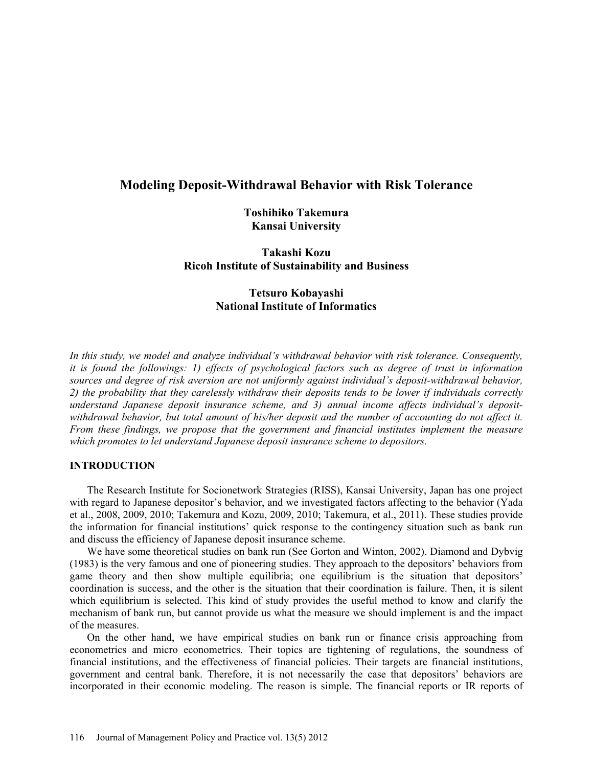# **Modeling Deposit-Withdrawal Behavior with Risk Tolerance**

**Toshihiko Takemura Kansai University** 

## **Takashi Kozu Ricoh Institute of Sustainability and Business**

# **Tetsuro Kobayashi National Institute of Informatics**

*In this study, we model and analyze individual's withdrawal behavior with risk tolerance. Consequently, it is found the followings: 1) effects of psychological factors such as degree of trust in information sources and degree of risk aversion are not uniformly against individual's deposit-withdrawal behavior, 2) the probability that they carelessly withdraw their deposits tends to be lower if individuals correctly understand Japanese deposit insurance scheme, and 3) annual income affects individual's depositwithdrawal behavior, but total amount of his/her deposit and the number of accounting do not affect it. From these findings, we propose that the government and financial institutes implement the measure which promotes to let understand Japanese deposit insurance scheme to depositors.* 

#### **INTRODUCTION**

The Research Institute for Socionetwork Strategies (RISS), Kansai University, Japan has one project with regard to Japanese depositor's behavior, and we investigated factors affecting to the behavior (Yada et al., 2008, 2009, 2010; Takemura and Kozu, 2009, 2010; Takemura, et al., 2011). These studies provide the information for financial institutions' quick response to the contingency situation such as bank run and discuss the efficiency of Japanese deposit insurance scheme.

We have some theoretical studies on bank run (See Gorton and Winton, 2002). Diamond and Dybvig (1983) is the very famous and one of pioneering studies. They approach to the depositors' behaviors from game theory and then show multiple equilibria; one equilibrium is the situation that depositors' coordination is success, and the other is the situation that their coordination is failure. Then, it is silent which equilibrium is selected. This kind of study provides the useful method to know and clarify the mechanism of bank run, but cannot provide us what the measure we should implement is and the impact of the measures.

On the other hand, we have empirical studies on bank run or finance crisis approaching from econometrics and micro econometrics. Their topics are tightening of regulations, the soundness of financial institutions, and the effectiveness of financial policies. Their targets are financial institutions, government and central bank. Therefore, it is not necessarily the case that depositors' behaviors are incorporated in their economic modeling. The reason is simple. The financial reports or IR reports of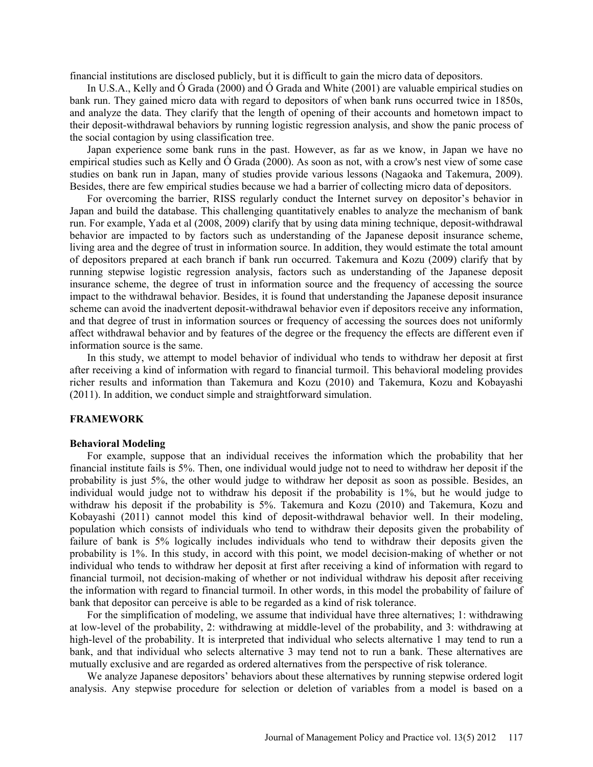financial institutions are disclosed publicly, but it is difficult to gain the micro data of depositors.

In U.S.A., Kelly and Ó Grada (2000) and Ó Grada and White (2001) are valuable empirical studies on bank run. They gained micro data with regard to depositors of when bank runs occurred twice in 1850s, and analyze the data. They clarify that the length of opening of their accounts and hometown impact to their deposit-withdrawal behaviors by running logistic regression analysis, and show the panic process of the social contagion by using classification tree.

Japan experience some bank runs in the past. However, as far as we know, in Japan we have no empirical studies such as Kelly and Ó Grada (2000). As soon as not, with a crow's nest view of some case studies on bank run in Japan, many of studies provide various lessons (Nagaoka and Takemura, 2009). Besides, there are few empirical studies because we had a barrier of collecting micro data of depositors.

For overcoming the barrier, RISS regularly conduct the Internet survey on depositor's behavior in Japan and build the database. This challenging quantitatively enables to analyze the mechanism of bank run. For example, Yada et al (2008, 2009) clarify that by using data mining technique, deposit-withdrawal behavior are impacted to by factors such as understanding of the Japanese deposit insurance scheme, living area and the degree of trust in information source. In addition, they would estimate the total amount of depositors prepared at each branch if bank run occurred. Takemura and Kozu (2009) clarify that by running stepwise logistic regression analysis, factors such as understanding of the Japanese deposit insurance scheme, the degree of trust in information source and the frequency of accessing the source impact to the withdrawal behavior. Besides, it is found that understanding the Japanese deposit insurance scheme can avoid the inadvertent deposit-withdrawal behavior even if depositors receive any information, and that degree of trust in information sources or frequency of accessing the sources does not uniformly affect withdrawal behavior and by features of the degree or the frequency the effects are different even if information source is the same.

In this study, we attempt to model behavior of individual who tends to withdraw her deposit at first after receiving a kind of information with regard to financial turmoil. This behavioral modeling provides richer results and information than Takemura and Kozu (2010) and Takemura, Kozu and Kobayashi (2011). In addition, we conduct simple and straightforward simulation.

#### **FRAMEWORK**

#### **Behavioral Modeling**

For example, suppose that an individual receives the information which the probability that her financial institute fails is 5%. Then, one individual would judge not to need to withdraw her deposit if the probability is just 5%, the other would judge to withdraw her deposit as soon as possible. Besides, an individual would judge not to withdraw his deposit if the probability is 1%, but he would judge to withdraw his deposit if the probability is 5%. Takemura and Kozu (2010) and Takemura, Kozu and Kobayashi (2011) cannot model this kind of deposit-withdrawal behavior well. In their modeling, population which consists of individuals who tend to withdraw their deposits given the probability of failure of bank is 5% logically includes individuals who tend to withdraw their deposits given the probability is 1%. In this study, in accord with this point, we model decision-making of whether or not individual who tends to withdraw her deposit at first after receiving a kind of information with regard to financial turmoil, not decision-making of whether or not individual withdraw his deposit after receiving the information with regard to financial turmoil. In other words, in this model the probability of failure of bank that depositor can perceive is able to be regarded as a kind of risk tolerance.

For the simplification of modeling, we assume that individual have three alternatives; 1: withdrawing at low-level of the probability, 2: withdrawing at middle-level of the probability, and 3: withdrawing at high-level of the probability. It is interpreted that individual who selects alternative 1 may tend to run a bank, and that individual who selects alternative 3 may tend not to run a bank. These alternatives are mutually exclusive and are regarded as ordered alternatives from the perspective of risk tolerance.

We analyze Japanese depositors' behaviors about these alternatives by running stepwise ordered logit analysis. Any stepwise procedure for selection or deletion of variables from a model is based on a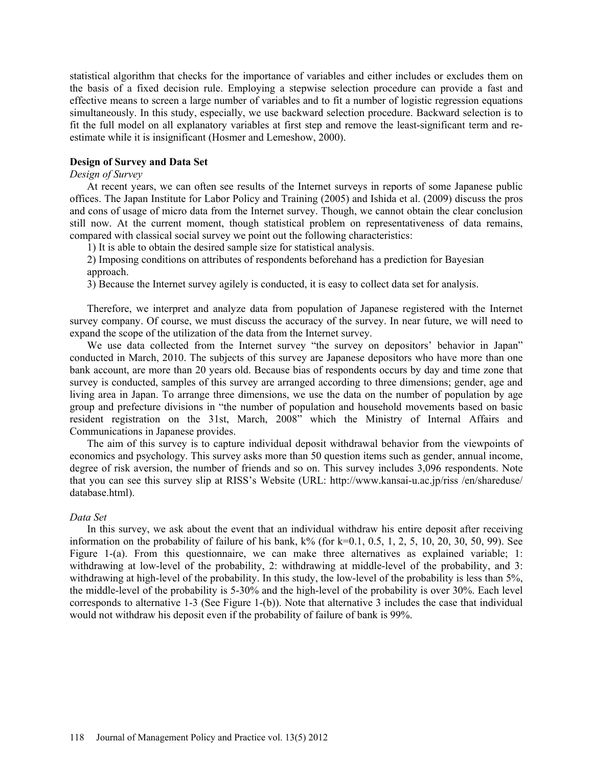statistical algorithm that checks for the importance of variables and either includes or excludes them on the basis of a fixed decision rule. Employing a stepwise selection procedure can provide a fast and effective means to screen a large number of variables and to fit a number of logistic regression equations simultaneously. In this study, especially, we use backward selection procedure. Backward selection is to fit the full model on all explanatory variables at first step and remove the least-significant term and reestimate while it is insignificant (Hosmer and Lemeshow, 2000).

#### **Design of Survey and Data Set**

#### *Design of Survey*

At recent years, we can often see results of the Internet surveys in reports of some Japanese public offices. The Japan Institute for Labor Policy and Training (2005) and Ishida et al. (2009) discuss the pros and cons of usage of micro data from the Internet survey. Though, we cannot obtain the clear conclusion still now. At the current moment, though statistical problem on representativeness of data remains, compared with classical social survey we point out the following characteristics:

1) It is able to obtain the desired sample size for statistical analysis.

2) Imposing conditions on attributes of respondents beforehand has a prediction for Bayesian approach.

3) Because the Internet survey agilely is conducted, it is easy to collect data set for analysis.

Therefore, we interpret and analyze data from population of Japanese registered with the Internet survey company. Of course, we must discuss the accuracy of the survey. In near future, we will need to expand the scope of the utilization of the data from the Internet survey.

We use data collected from the Internet survey "the survey on depositors' behavior in Japan" conducted in March, 2010. The subjects of this survey are Japanese depositors who have more than one bank account, are more than 20 years old. Because bias of respondents occurs by day and time zone that survey is conducted, samples of this survey are arranged according to three dimensions; gender, age and living area in Japan. To arrange three dimensions, we use the data on the number of population by age group and prefecture divisions in "the number of population and household movements based on basic resident registration on the 31st, March, 2008" which the Ministry of Internal Affairs and Communications in Japanese provides.

The aim of this survey is to capture individual deposit withdrawal behavior from the viewpoints of economics and psychology. This survey asks more than 50 question items such as gender, annual income, degree of risk aversion, the number of friends and so on. This survey includes 3,096 respondents. Note that you can see this survey slip at RISS's Website (URL: http://www.kansai-u.ac.jp/riss /en/shareduse/ database.html).

#### *Data Set*

In this survey, we ask about the event that an individual withdraw his entire deposit after receiving information on the probability of failure of his bank,  $k\%$  (for  $k=0.1, 0.5, 1, 2, 5, 10, 20, 30, 50, 99$ ). See Figure 1-(a). From this questionnaire, we can make three alternatives as explained variable; 1: withdrawing at low-level of the probability, 2: withdrawing at middle-level of the probability, and 3: withdrawing at high-level of the probability. In this study, the low-level of the probability is less than 5%, the middle-level of the probability is 5-30% and the high-level of the probability is over 30%. Each level corresponds to alternative 1-3 (See Figure 1-(b)). Note that alternative 3 includes the case that individual would not withdraw his deposit even if the probability of failure of bank is 99%.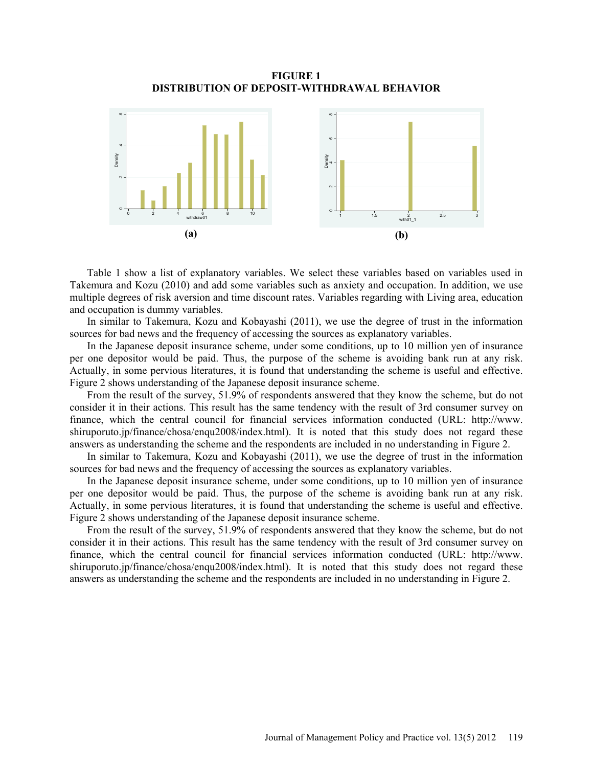**FIGURE 1 DISTRIBUTION OF DEPOSIT-WITHDRAWAL BEHAVIOR** 



Table 1 show a list of explanatory variables. We select these variables based on variables used in Takemura and Kozu (2010) and add some variables such as anxiety and occupation. In addition, we use multiple degrees of risk aversion and time discount rates. Variables regarding with Living area, education and occupation is dummy variables.

In similar to Takemura, Kozu and Kobayashi (2011), we use the degree of trust in the information sources for bad news and the frequency of accessing the sources as explanatory variables.

In the Japanese deposit insurance scheme, under some conditions, up to 10 million yen of insurance per one depositor would be paid. Thus, the purpose of the scheme is avoiding bank run at any risk. Actually, in some pervious literatures, it is found that understanding the scheme is useful and effective. Figure 2 shows understanding of the Japanese deposit insurance scheme.

From the result of the survey, 51.9% of respondents answered that they know the scheme, but do not consider it in their actions. This result has the same tendency with the result of 3rd consumer survey on finance, which the central council for financial services information conducted (URL: http://www. shiruporuto.jp/finance/chosa/enqu2008/index.html). It is noted that this study does not regard these answers as understanding the scheme and the respondents are included in no understanding in Figure 2.

In similar to Takemura, Kozu and Kobayashi (2011), we use the degree of trust in the information sources for bad news and the frequency of accessing the sources as explanatory variables.

In the Japanese deposit insurance scheme, under some conditions, up to 10 million yen of insurance per one depositor would be paid. Thus, the purpose of the scheme is avoiding bank run at any risk. Actually, in some pervious literatures, it is found that understanding the scheme is useful and effective. Figure 2 shows understanding of the Japanese deposit insurance scheme.

From the result of the survey, 51.9% of respondents answered that they know the scheme, but do not consider it in their actions. This result has the same tendency with the result of 3rd consumer survey on finance, which the central council for financial services information conducted (URL: http://www. shiruporuto.jp/finance/chosa/enqu2008/index.html). It is noted that this study does not regard these answers as understanding the scheme and the respondents are included in no understanding in Figure 2.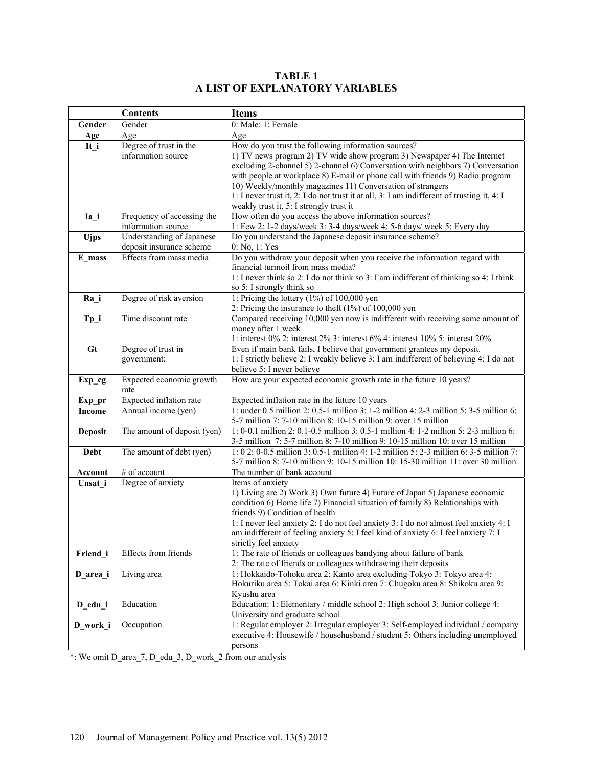## **TABLE 1 A LIST OF EXPLANATORY VARIABLES**

|                | <b>Contents</b>                                       | <b>Items</b>                                                                                                                                                                                                                                                                                                                                                                                                                                                                                               |  |  |
|----------------|-------------------------------------------------------|------------------------------------------------------------------------------------------------------------------------------------------------------------------------------------------------------------------------------------------------------------------------------------------------------------------------------------------------------------------------------------------------------------------------------------------------------------------------------------------------------------|--|--|
| Gender         | Gender                                                | 0: Male: 1: Female                                                                                                                                                                                                                                                                                                                                                                                                                                                                                         |  |  |
| Age            | Age                                                   | Age                                                                                                                                                                                                                                                                                                                                                                                                                                                                                                        |  |  |
| $It_i$         | Degree of trust in the<br>information source          | How do you trust the following information sources?<br>1) TV news program 2) TV wide show program 3) Newspaper 4) The Internet<br>excluding 2-channel 5) 2-channel 6) Conversation with neighbors 7) Conversation<br>with people at workplace 8) E-mail or phone call with friends 9) Radio program<br>10) Weekly/monthly magazines 11) Conversation of strangers<br>1: I never trust it, 2: I do not trust it at all, 3: I am indifferent of trusting it, 4: I<br>weakly trust it, 5: I strongly trust it |  |  |
| Ia_i           | Frequency of accessing the<br>information source      | How often do you access the above information sources?<br>1: Few 2: 1-2 days/week 3: 3-4 days/week 4: 5-6 days/ week 5: Every day                                                                                                                                                                                                                                                                                                                                                                          |  |  |
| <b>Ujps</b>    | Understanding of Japanese<br>deposit insurance scheme | Do you understand the Japanese deposit insurance scheme?<br>0: No, 1: Yes                                                                                                                                                                                                                                                                                                                                                                                                                                  |  |  |
| E_mass         | Effects from mass media                               | Do you withdraw your deposit when you receive the information regard with<br>financial turmoil from mass media?<br>1: I never think so 2: I do not think so 3: I am indifferent of thinking so 4: I think<br>so 5: I strongly think so                                                                                                                                                                                                                                                                     |  |  |
| Ra_i           | Degree of risk aversion                               | 1: Pricing the lottery $(1\%)$ of 100,000 yen<br>2: Pricing the insurance to theft $(1%)$ of $100,000$ yen                                                                                                                                                                                                                                                                                                                                                                                                 |  |  |
| Tp_i           | Time discount rate                                    | Compared receiving 10,000 yen now is indifferent with receiving some amount of<br>money after 1 week<br>1: interest 0% 2: interest 2% 3: interest 6% 4: interest 10% 5: interest 20%                                                                                                                                                                                                                                                                                                                       |  |  |
| Gt             | Degree of trust in<br>government:                     | Even if main bank fails, I believe that government grantees my deposit.<br>1: I strictly believe 2: I weakly believe 3: I am indifferent of believing 4: I do not<br>believe 5: I never believe                                                                                                                                                                                                                                                                                                            |  |  |
| Exp_eg         | Expected economic growth<br>rate                      | How are your expected economic growth rate in the future 10 years?                                                                                                                                                                                                                                                                                                                                                                                                                                         |  |  |
| $Exp_pr$       | Expected inflation rate                               | Expected inflation rate in the future 10 years                                                                                                                                                                                                                                                                                                                                                                                                                                                             |  |  |
| Income         | Annual income (yen)                                   | 1: under 0.5 million 2: 0.5-1 million 3: 1-2 million 4: 2-3 million 5: 3-5 million 6:<br>5-7 million 7: 7-10 million 8: 10-15 million 9: over 15 million                                                                                                                                                                                                                                                                                                                                                   |  |  |
| <b>Deposit</b> | The amount of deposit (yen)                           | 1: 0-0.1 million 2: 0.1-0.5 million 3: 0.5-1 million 4: 1-2 million 5: 2-3 million 6:<br>3-5 million 7: 5-7 million 8: 7-10 million 9: 10-15 million 10: over 15 million                                                                                                                                                                                                                                                                                                                                   |  |  |
| <b>Debt</b>    | The amount of debt (yen)                              | 1: 0 2: 0-0.5 million 3: 0.5-1 million 4: 1-2 million 5: 2-3 million 6: 3-5 million 7:<br>5-7 million 8: 7-10 million 9: 10-15 million 10: 15-30 million 11: over 30 million                                                                                                                                                                                                                                                                                                                               |  |  |
| Account        | # of account                                          | The number of bank account                                                                                                                                                                                                                                                                                                                                                                                                                                                                                 |  |  |
| Unsat_i        | Degree of anxiety                                     | Items of anxiety<br>1) Living are 2) Work 3) Own future 4) Future of Japan 5) Japanese economic<br>condition 6) Home life 7) Financial situation of family 8) Relationships with<br>friends 9) Condition of health<br>1: I never feel anxiety 2: I do not feel anxiety 3: I do not almost feel anxiety 4: I<br>am indifferent of feeling anxiety 5: I feel kind of anxiety 6: I feel anxiety 7: I<br>strictly feel anxiety                                                                                 |  |  |
| Friend_i       | Effects from friends                                  | 1: The rate of friends or colleagues bandying about failure of bank<br>2: The rate of friends or colleagues withdrawing their deposits                                                                                                                                                                                                                                                                                                                                                                     |  |  |
| D_area_i       | Living area                                           | 1: Hokkaido-Tohoku area 2: Kanto area excluding Tokyo 3: Tokyo area 4:<br>Hokuriku area 5: Tokai area 6: Kinki area 7: Chugoku area 8: Shikoku area 9:<br>Kyushu area                                                                                                                                                                                                                                                                                                                                      |  |  |
| D_edu_i        | Education                                             | Education: 1: Elementary / middle school 2: High school 3: Junior college 4:<br>University and graduate school.                                                                                                                                                                                                                                                                                                                                                                                            |  |  |
| D_work_i       | Occupation                                            | 1: Regular employer 2: Irregular employer 3: Self-employed individual / company<br>executive 4: Housewife / househusband / student 5: Others including unemployed<br>persons                                                                                                                                                                                                                                                                                                                               |  |  |

\*: We omit D\_area\_7, D\_edu\_3, D\_work\_2 from our analysis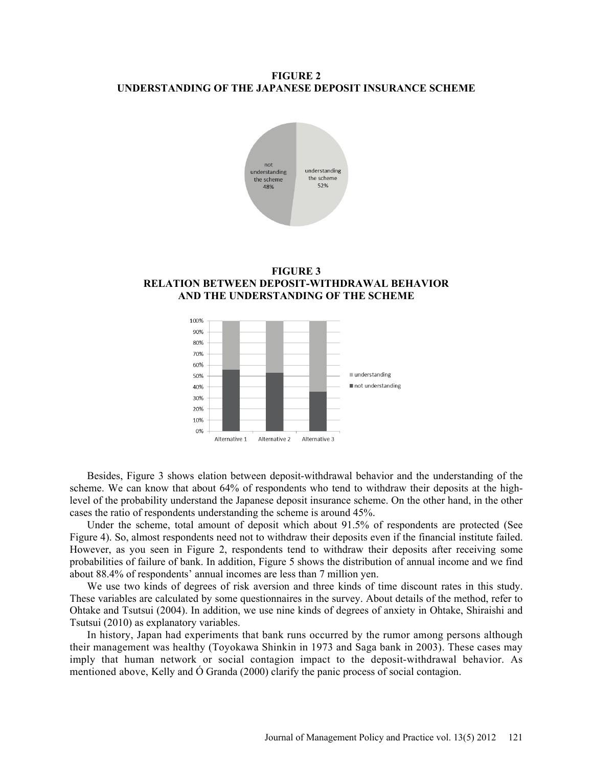#### **FIGURE 2 UNDERSTANDING OF THE JAPANESE DEPOSIT INSURANCE SCHEME**



**FIGURE 3 RELATION BETWEEN DEPOSIT-WITHDRAWAL BEHAVIOR AND THE UNDERSTANDING OF THE SCHEME** 



Besides, Figure 3 shows elation between deposit-withdrawal behavior and the understanding of the scheme. We can know that about 64% of respondents who tend to withdraw their deposits at the highlevel of the probability understand the Japanese deposit insurance scheme. On the other hand, in the other cases the ratio of respondents understanding the scheme is around 45%.

Under the scheme, total amount of deposit which about 91.5% of respondents are protected (See Figure 4). So, almost respondents need not to withdraw their deposits even if the financial institute failed. However, as you seen in Figure 2, respondents tend to withdraw their deposits after receiving some probabilities of failure of bank. In addition, Figure 5 shows the distribution of annual income and we find about 88.4% of respondents' annual incomes are less than 7 million yen.

We use two kinds of degrees of risk aversion and three kinds of time discount rates in this study. These variables are calculated by some questionnaires in the survey. About details of the method, refer to Ohtake and Tsutsui (2004). In addition, we use nine kinds of degrees of anxiety in Ohtake, Shiraishi and Tsutsui (2010) as explanatory variables.

In history, Japan had experiments that bank runs occurred by the rumor among persons although their management was healthy (Toyokawa Shinkin in 1973 and Saga bank in 2003). These cases may imply that human network or social contagion impact to the deposit-withdrawal behavior. As mentioned above, Kelly and Ó Granda (2000) clarify the panic process of social contagion.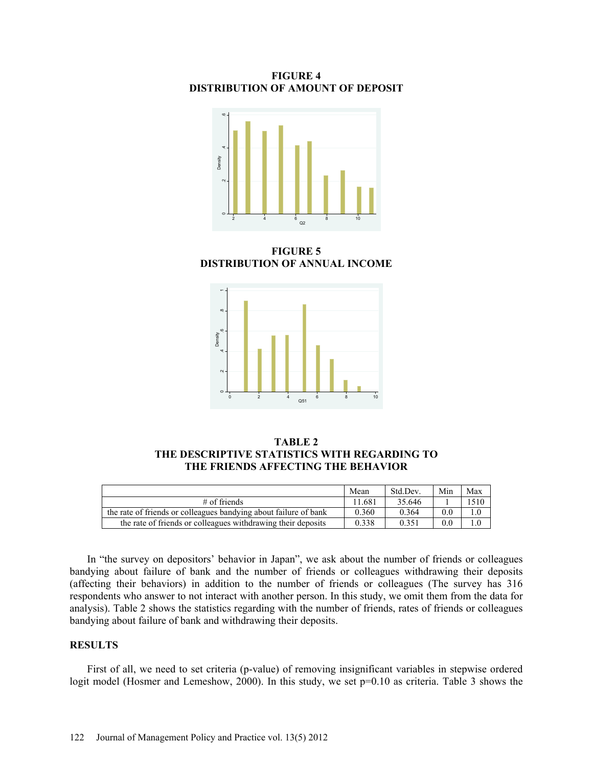**FIGURE 4 DISTRIBUTION OF AMOUNT OF DEPOSIT** 



**FIGURE 5 DISTRIBUTION OF ANNUAL INCOME** 



**TABLE 2 THE DESCRIPTIVE STATISTICS WITH REGARDING TO THE FRIENDS AFFECTING THE BEHAVIOR**

|                                                                  | Mean   | Std Dev | Min | Max  |
|------------------------------------------------------------------|--------|---------|-----|------|
| $#$ of friends                                                   | 11.681 | 35.646  |     | 1510 |
| the rate of friends or colleagues bandying about failure of bank | 0.360  | 0.364   | 0.0 |      |
| the rate of friends or colleagues withdrawing their deposits     | 0.338  | 0.351   | 0.0 |      |

In "the survey on depositors' behavior in Japan", we ask about the number of friends or colleagues bandying about failure of bank and the number of friends or colleagues withdrawing their deposits (affecting their behaviors) in addition to the number of friends or colleagues (The survey has 316 respondents who answer to not interact with another person. In this study, we omit them from the data for analysis). Table 2 shows the statistics regarding with the number of friends, rates of friends or colleagues bandying about failure of bank and withdrawing their deposits.

### **RESULTS**

First of all, we need to set criteria (p-value) of removing insignificant variables in stepwise ordered logit model (Hosmer and Lemeshow, 2000). In this study, we set  $p=0.10$  as criteria. Table 3 shows the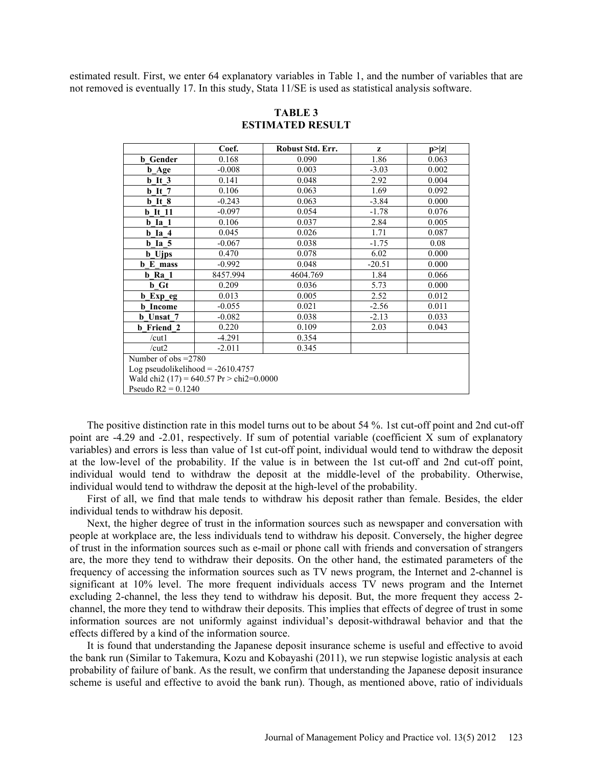estimated result. First, we enter 64 explanatory variables in Table 1, and the number of variables that are not removed is eventually 17. In this study, Stata 11/SE is used as statistical analysis software.

|                                            | Coef.                | Robust Std. Err. | z        | p >  z |  |
|--------------------------------------------|----------------------|------------------|----------|--------|--|
| <b>b</b> Gender                            | 0.168                | 0.090            | 1.86     | 0.063  |  |
| <b>b</b> Age                               | $-0.008$             | 0.003            | $-3.03$  | 0.002  |  |
| $b$ It 3                                   | 0.141                | 0.048            | 2.92     | 0.004  |  |
| $b$ It 7                                   | 0.106                | 0.063            | 1.69     | 0.092  |  |
| $b$ It $8$                                 | $-0.243$             | 0.063            | $-3.84$  | 0.000  |  |
| <b>b</b> It 11                             | $-0.097$             | 0.054            | $-1.78$  | 0.076  |  |
| $b$ Ia 1                                   | 0.106                | 0.037            | 2.84     | 0.005  |  |
| $b$ Ia 4                                   | 0.045                | 0.026            | 1.71     | 0.087  |  |
| b Ia 5                                     | $-0.067$             | 0.038            | $-1.75$  | 0.08   |  |
| <b>b_Ujps</b>                              | 0.470                | 0.078            | 6.02     | 0.000  |  |
| <b>b</b> E mass                            | $-0.992$             | 0.048            | $-20.51$ | 0.000  |  |
| b Ra 1                                     | 8457.994             | 4604.769         | 1.84     | 0.066  |  |
| b Gt                                       | 0.209                | 0.036            | 5.73     | 0.000  |  |
| b_Exp_eg                                   | 0.013                | 0.005            | 2.52     | 0.012  |  |
| <b>b</b> Income                            | $-0.055$             | 0.021            | $-2.56$  | 0.011  |  |
| <b>b</b> Unsat 7                           | $-0.082$             | 0.038            | $-2.13$  | 0.033  |  |
| <b>b</b> Friend 2                          | 0.220                | 0.109            | 2.03     | 0.043  |  |
| /cut1                                      | $-4.291$             | 0.354            |          |        |  |
| /cut2                                      | $-2.011$             | 0.345            |          |        |  |
| Number of $obs = 2780$                     |                      |                  |          |        |  |
| Log pseudolikelihood = $-2610.4757$        |                      |                  |          |        |  |
| Wald chi2 $(17)$ = 640.57 Pr > chi2=0.0000 |                      |                  |          |        |  |
|                                            | Pseudo $R2 = 0.1240$ |                  |          |        |  |

## **TABLE 3 ESTIMATED RESULT**

The positive distinction rate in this model turns out to be about 54 %. 1st cut-off point and 2nd cut-off point are -4.29 and -2.01, respectively. If sum of potential variable (coefficient X sum of explanatory variables) and errors is less than value of 1st cut-off point, individual would tend to withdraw the deposit at the low-level of the probability. If the value is in between the 1st cut-off and 2nd cut-off point, individual would tend to withdraw the deposit at the middle-level of the probability. Otherwise, individual would tend to withdraw the deposit at the high-level of the probability.

First of all, we find that male tends to withdraw his deposit rather than female. Besides, the elder individual tends to withdraw his deposit.

Next, the higher degree of trust in the information sources such as newspaper and conversation with people at workplace are, the less individuals tend to withdraw his deposit. Conversely, the higher degree of trust in the information sources such as e-mail or phone call with friends and conversation of strangers are, the more they tend to withdraw their deposits. On the other hand, the estimated parameters of the frequency of accessing the information sources such as TV news program, the Internet and 2-channel is significant at 10% level. The more frequent individuals access TV news program and the Internet excluding 2-channel, the less they tend to withdraw his deposit. But, the more frequent they access 2 channel, the more they tend to withdraw their deposits. This implies that effects of degree of trust in some information sources are not uniformly against individual's deposit-withdrawal behavior and that the effects differed by a kind of the information source.

It is found that understanding the Japanese deposit insurance scheme is useful and effective to avoid the bank run (Similar to Takemura, Kozu and Kobayashi (2011), we run stepwise logistic analysis at each probability of failure of bank. As the result, we confirm that understanding the Japanese deposit insurance scheme is useful and effective to avoid the bank run). Though, as mentioned above, ratio of individuals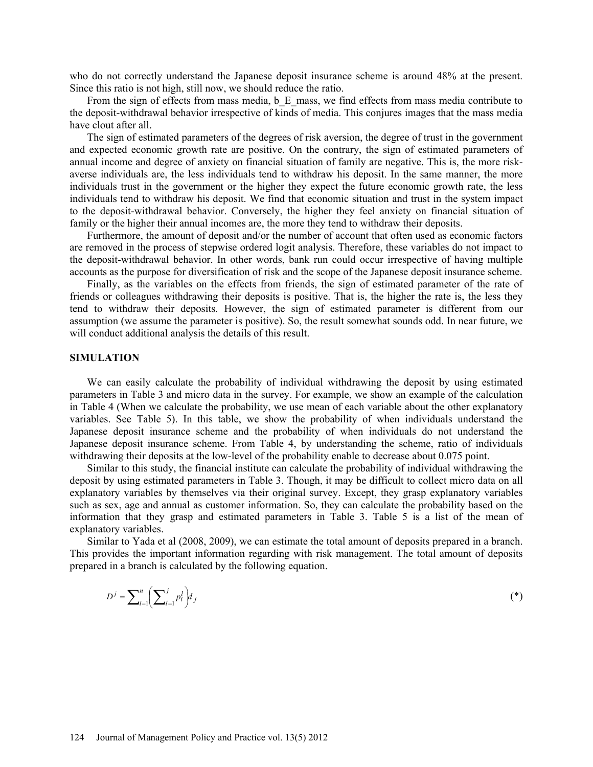who do not correctly understand the Japanese deposit insurance scheme is around 48% at the present. Since this ratio is not high, still now, we should reduce the ratio.

From the sign of effects from mass media, b E mass, we find effects from mass media contribute to the deposit-withdrawal behavior irrespective of kinds of media. This conjures images that the mass media have clout after all.

The sign of estimated parameters of the degrees of risk aversion, the degree of trust in the government and expected economic growth rate are positive. On the contrary, the sign of estimated parameters of annual income and degree of anxiety on financial situation of family are negative. This is, the more riskaverse individuals are, the less individuals tend to withdraw his deposit. In the same manner, the more individuals trust in the government or the higher they expect the future economic growth rate, the less individuals tend to withdraw his deposit. We find that economic situation and trust in the system impact to the deposit-withdrawal behavior. Conversely, the higher they feel anxiety on financial situation of family or the higher their annual incomes are, the more they tend to withdraw their deposits.

Furthermore, the amount of deposit and/or the number of account that often used as economic factors are removed in the process of stepwise ordered logit analysis. Therefore, these variables do not impact to the deposit-withdrawal behavior. In other words, bank run could occur irrespective of having multiple accounts as the purpose for diversification of risk and the scope of the Japanese deposit insurance scheme.

Finally, as the variables on the effects from friends, the sign of estimated parameter of the rate of friends or colleagues withdrawing their deposits is positive. That is, the higher the rate is, the less they tend to withdraw their deposits. However, the sign of estimated parameter is different from our assumption (we assume the parameter is positive). So, the result somewhat sounds odd. In near future, we will conduct additional analysis the details of this result.

#### **SIMULATION**

We can easily calculate the probability of individual withdrawing the deposit by using estimated parameters in Table 3 and micro data in the survey. For example, we show an example of the calculation in Table 4 (When we calculate the probability, we use mean of each variable about the other explanatory variables. See Table 5). In this table, we show the probability of when individuals understand the Japanese deposit insurance scheme and the probability of when individuals do not understand the Japanese deposit insurance scheme. From Table 4, by understanding the scheme, ratio of individuals withdrawing their deposits at the low-level of the probability enable to decrease about 0.075 point.

Similar to this study, the financial institute can calculate the probability of individual withdrawing the deposit by using estimated parameters in Table 3. Though, it may be difficult to collect micro data on all explanatory variables by themselves via their original survey. Except, they grasp explanatory variables such as sex, age and annual as customer information. So, they can calculate the probability based on the information that they grasp and estimated parameters in Table 3. Table 5 is a list of the mean of explanatory variables.

Similar to Yada et al (2008, 2009), we can estimate the total amount of deposits prepared in a branch. This provides the important information regarding with risk management. The total amount of deposits prepared in a branch is calculated by the following equation.

$$
D^j = \sum_{i=1}^n \left( \sum_{l=1}^j p_i^l \right) d_j \tag{(*)}
$$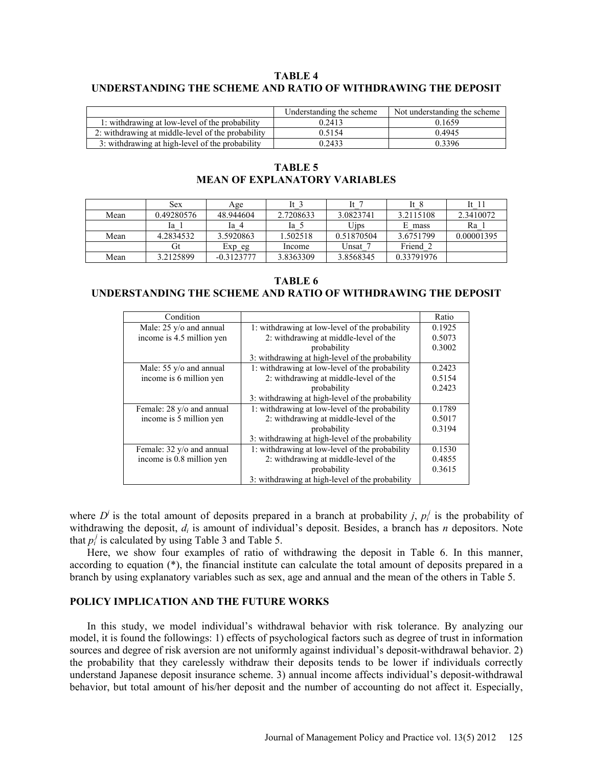## **TABLE 4 UNDERSTANDING THE SCHEME AND RATIO OF WITHDRAWING THE DEPOSIT**

|                                                   | Understanding the scheme | Not understanding the scheme. |
|---------------------------------------------------|--------------------------|-------------------------------|
| 1: withdrawing at low-level of the probability    | 0.2413                   | 0.1659                        |
| 2: withdrawing at middle-level of the probability | 0.5154                   | 0.4945                        |
| 3: withdrawing at high-level of the probability   | 0.2433                   | 0 3396                        |

### **TABLE 5 MEAN OF EXPLANATORY VARIABLES**

|      | Sex        | Age          | $\mathbf{H}$ | $I^+$ 7    | It 8       | It 11      |
|------|------------|--------------|--------------|------------|------------|------------|
| Mean | 0.49280576 | 48.944604    | 2.7208633    | 3.0823741  | 3.2115108  | 2.3410072  |
|      | la 1       | Ia 4         | la 5         | Ujps       | E mass     | Ra         |
| Mean | 4.2834532  | 3.5920863    | 1.502518     | 0.51870504 | 3.6751799  | 0.00001395 |
|      | Gt         | Exp eg       | Income       | Unsat 7    | Friend 2   |            |
| Mean | 3.2125899  | $-0.3123777$ | 3.8363309    | 3.8568345  | 0.33791976 |            |

### **TABLE 6**

## **UNDERSTANDING THE SCHEME AND RATIO OF WITHDRAWING THE DEPOSIT**

| Condition                                       |                                                 | Ratio  |
|-------------------------------------------------|-------------------------------------------------|--------|
| Male: $25 \text{ y/o}$ and annual               | 1: withdrawing at low-level of the probability  | 0.1925 |
| income is 4.5 million yen                       | 2: withdrawing at middle-level of the           | 0.5073 |
|                                                 | probability                                     | 0.3002 |
|                                                 | 3: withdrawing at high-level of the probability |        |
| Male: $55 \frac{\text{y}}{\text{o}}$ and annual | 1: withdrawing at low-level of the probability  | 0.2423 |
| income is 6 million yen                         | 2: withdrawing at middle-level of the           | 0.5154 |
|                                                 | probability                                     | 0.2423 |
|                                                 | 3: withdrawing at high-level of the probability |        |
| Female: 28 y/o and annual                       | 1: withdrawing at low-level of the probability  | 0.1789 |
| income is 5 million yen                         | 2: withdrawing at middle-level of the           | 0.5017 |
|                                                 | probability                                     | 0.3194 |
|                                                 | 3: withdrawing at high-level of the probability |        |
| Female: 32 y/o and annual                       | 1: withdrawing at low-level of the probability  | 0.1530 |
| income is 0.8 million yen                       | 2: withdrawing at middle-level of the           | 0.4855 |
|                                                 | probability                                     | 0.3615 |
|                                                 | 3: withdrawing at high-level of the probability |        |

where  $D^j$  is the total amount of deposits prepared in a branch at probability *j*,  $p_i^j$  is the probability of withdrawing the deposit,  $d_i$  is amount of individual's deposit. Besides, a branch has *n* depositors. Note that  $p_i^j$  is calculated by using Table 3 and Table 5.

Here, we show four examples of ratio of withdrawing the deposit in Table 6. In this manner, according to equation (\*), the financial institute can calculate the total amount of deposits prepared in a branch by using explanatory variables such as sex, age and annual and the mean of the others in Table 5.

## **POLICY IMPLICATION AND THE FUTURE WORKS**

In this study, we model individual's withdrawal behavior with risk tolerance. By analyzing our model, it is found the followings: 1) effects of psychological factors such as degree of trust in information sources and degree of risk aversion are not uniformly against individual's deposit-withdrawal behavior. 2) the probability that they carelessly withdraw their deposits tends to be lower if individuals correctly understand Japanese deposit insurance scheme. 3) annual income affects individual's deposit-withdrawal behavior, but total amount of his/her deposit and the number of accounting do not affect it. Especially,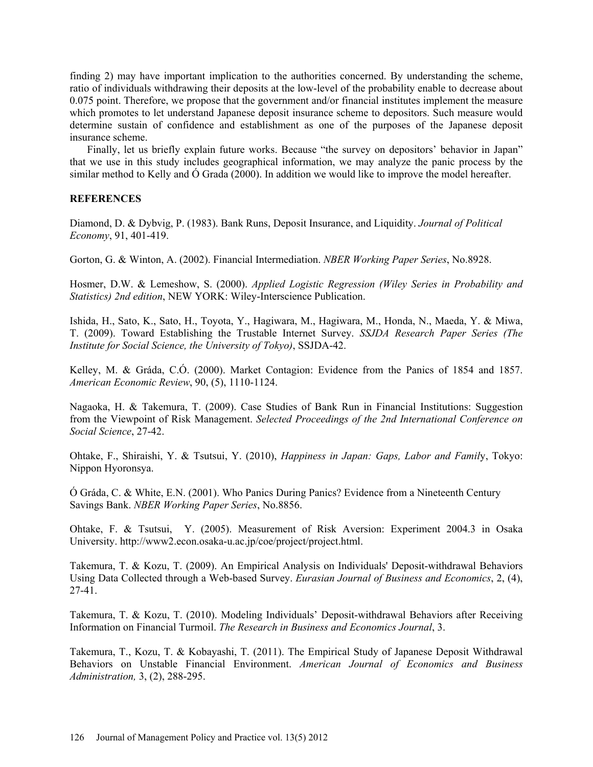finding 2) may have important implication to the authorities concerned. By understanding the scheme, ratio of individuals withdrawing their deposits at the low-level of the probability enable to decrease about 0.075 point. Therefore, we propose that the government and/or financial institutes implement the measure which promotes to let understand Japanese deposit insurance scheme to depositors. Such measure would determine sustain of confidence and establishment as one of the purposes of the Japanese deposit insurance scheme.

Finally, let us briefly explain future works. Because "the survey on depositors' behavior in Japan" that we use in this study includes geographical information, we may analyze the panic process by the similar method to Kelly and Ó Grada (2000). In addition we would like to improve the model hereafter.

## **REFERENCES**

Diamond, D. & Dybvig, P. (1983). Bank Runs, Deposit Insurance, and Liquidity. *Journal of Political Economy*, 91, 401-419.

Gorton, G. & Winton, A. (2002). Financial Intermediation. *NBER Working Paper Series*, No.8928.

Hosmer, D.W. & Lemeshow, S. (2000). *Applied Logistic Regression (Wiley Series in Probability and Statistics) 2nd edition*, NEW YORK: Wiley-Interscience Publication.

Ishida, H., Sato, K., Sato, H., Toyota, Y., Hagiwara, M., Hagiwara, M., Honda, N., Maeda, Y. & Miwa, T. (2009). Toward Establishing the Trustable Internet Survey. *SSJDA Research Paper Series (The Institute for Social Science, the University of Tokyo)*, SSJDA-42.

Kelley, M. & Gráda, C.Ó. (2000). Market Contagion: Evidence from the Panics of 1854 and 1857. *American Economic Review*, 90, (5), 1110-1124.

Nagaoka, H. & Takemura, T. (2009). Case Studies of Bank Run in Financial Institutions: Suggestion from the Viewpoint of Risk Management. *Selected Proceedings of the 2nd International Conference on Social Science*, 27-42.

Ohtake, F., Shiraishi, Y. & Tsutsui, Y. (2010), *Happiness in Japan: Gaps, Labor and Famil*y, Tokyo: Nippon Hyoronsya.

Ó Gráda, C. & White, E.N. (2001). Who Panics During Panics? Evidence from a Nineteenth Century Savings Bank. *NBER Working Paper Series*, No.8856.

Ohtake, F. & Tsutsui, Y. (2005). Measurement of Risk Aversion: Experiment 2004.3 in Osaka University. http://www2.econ.osaka-u.ac.jp/coe/project/project.html.

Takemura, T. & Kozu, T. (2009). An Empirical Analysis on Individuals' Deposit-withdrawal Behaviors Using Data Collected through a Web-based Survey. *Eurasian Journal of Business and Economics*, 2, (4), 27-41.

Takemura, T. & Kozu, T. (2010). Modeling Individuals' Deposit-withdrawal Behaviors after Receiving Information on Financial Turmoil. *The Research in Business and Economics Journal*, 3.

Takemura, T., Kozu, T. & Kobayashi, T. (2011). The Empirical Study of Japanese Deposit Withdrawal Behaviors on Unstable Financial Environment. *American Journal of Economics and Business Administration,* 3, (2), 288-295.